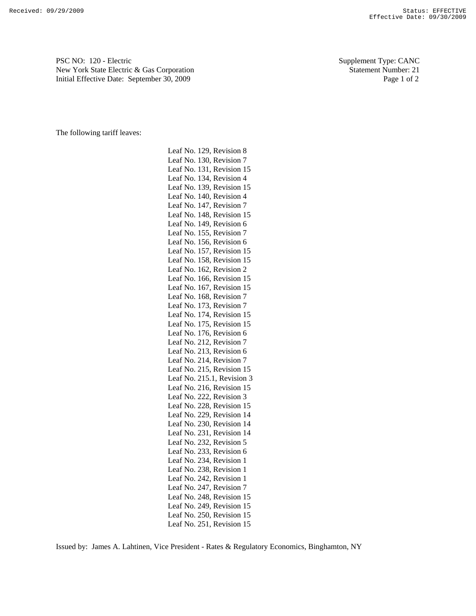PSC NO: 120 - Electric Supplement Type: CANC New York State Electric & Gas Corporation Statement Number: 21 Initial Effective Date: September 30, 2009 Page 1 of 2

The following tariff leaves:

Leaf No. 129, Revision 8 Leaf No. 130, Revision 7 Leaf No. 131, Revision 15 Leaf No. 134, Revision 4 Leaf No. 139, Revision 15 Leaf No. 140, Revision 4 Leaf No. 147, Revision 7 Leaf No. 148, Revision 15 Leaf No. 149, Revision 6 Leaf No. 155, Revision 7 Leaf No. 156, Revision 6 Leaf No. 157, Revision 15 Leaf No. 158, Revision 15 Leaf No. 162, Revision 2 Leaf No. 166, Revision 15 Leaf No. 167, Revision 15 Leaf No. 168, Revision 7 Leaf No. 173, Revision 7 Leaf No. 174, Revision 15 Leaf No. 175, Revision 15 Leaf No. 176, Revision 6 Leaf No. 212, Revision 7 Leaf No. 213, Revision 6 Leaf No. 214, Revision 7 Leaf No. 215, Revision 15 Leaf No. 215.1, Revision 3 Leaf No. 216, Revision 15 Leaf No. 222, Revision 3 Leaf No. 228, Revision 15 Leaf No. 229, Revision 14 Leaf No. 230, Revision 14 Leaf No. 231, Revision 14 Leaf No. 232, Revision 5 Leaf No. 233, Revision 6 Leaf No. 234, Revision 1 Leaf No. 238, Revision 1 Leaf No. 242, Revision 1 Leaf No. 247, Revision 7 Leaf No. 248, Revision 15 Leaf No. 249, Revision 15 Leaf No. 250, Revision 15 Leaf No. 251, Revision 15

Issued by: James A. Lahtinen, Vice President - Rates & Regulatory Economics, Binghamton, NY